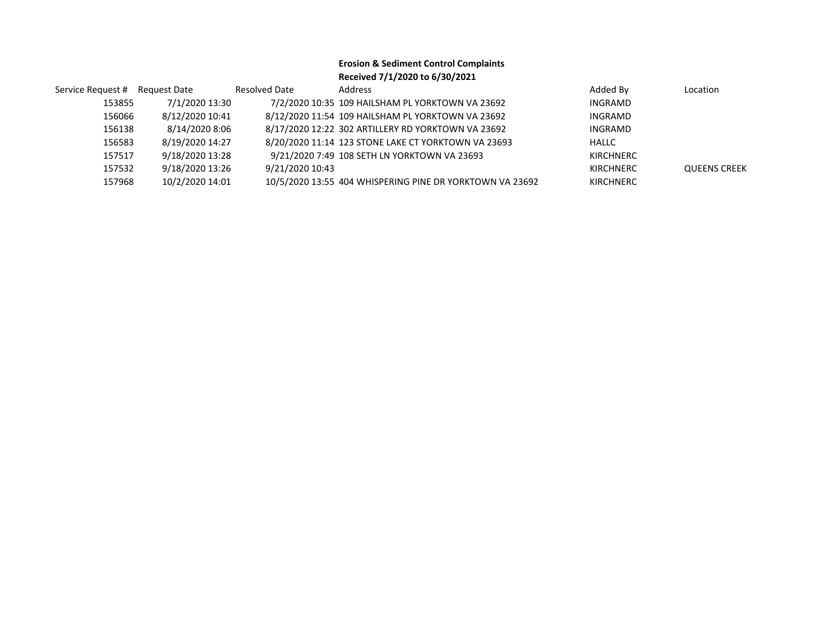## **Erosion & Sediment Control Complaints Received 7/1/2020 to 6/30/2021**

| Service Request # Request Date |                 | <b>Resolved Date</b> | Address                                                  | Added By         | Location            |
|--------------------------------|-----------------|----------------------|----------------------------------------------------------|------------------|---------------------|
| 153855                         | 7/1/2020 13:30  |                      | 7/2/2020 10:35 109 HAILSHAM PL YORKTOWN VA 23692         | INGRAMD          |                     |
| 156066                         | 8/12/2020 10:41 |                      | 8/12/2020 11:54 109 HAILSHAM PL YORKTOWN VA 23692        | INGRAMD          |                     |
| 156138                         | 8/14/2020 8:06  |                      | 8/17/2020 12:22 302 ARTILLERY RD YORKTOWN VA 23692       | INGRAMD          |                     |
| 156583                         | 8/19/2020 14:27 |                      | 8/20/2020 11:14 123 STONE LAKE CT YORKTOWN VA 23693      | HALLC            |                     |
| 157517                         | 9/18/2020 13:28 |                      | 9/21/2020 7:49 108 SETH LN YORKTOWN VA 23693             | <b>KIRCHNERC</b> |                     |
| 157532                         | 9/18/2020 13:26 | 9/21/2020 10:43      |                                                          | <b>KIRCHNERC</b> | <b>QUEENS CREEK</b> |
| 157968                         | 10/2/2020 14:01 |                      | 10/5/2020 13:55 404 WHISPERING PINE DR YORKTOWN VA 23692 | <b>KIRCHNERC</b> |                     |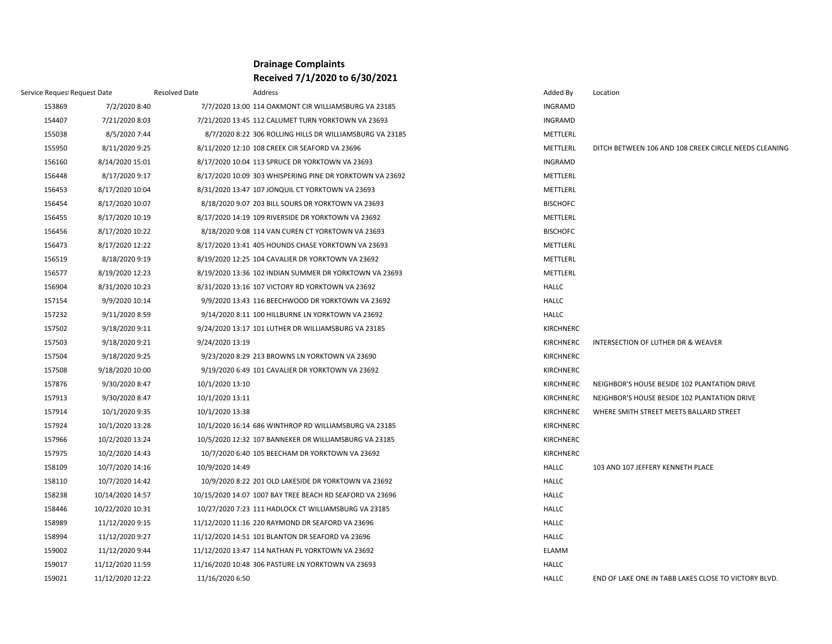## **Drainage Complaints Received 7/1/2020 to 6/30/2021**

| Service Request Request Date |                  | <b>Resolved Date</b> | Address                                                  | Added By         | Location                                              |
|------------------------------|------------------|----------------------|----------------------------------------------------------|------------------|-------------------------------------------------------|
| 153869                       | 7/2/2020 8:40    |                      | 7/7/2020 13:00 114 OAKMONT CIR WILLIAMSBURG VA 23185     | <b>INGRAMD</b>   |                                                       |
| 154407                       | 7/21/2020 8:03   |                      | 7/21/2020 13:45 112 CALUMET TURN YORKTOWN VA 23693       | <b>INGRAMD</b>   |                                                       |
| 155038                       | 8/5/2020 7:44    |                      | 8/7/2020 8:22 306 ROLLING HILLS DR WILLIAMSBURG VA 23185 | METTLERL         |                                                       |
| 155950                       | 8/11/2020 9:25   |                      | 8/11/2020 12:10 108 CREEK CIR SEAFORD VA 23696           | METTLERL         | DITCH BETWEEN 106 AND 108 CREEK CIRCLE NEEDS CLEANING |
| 156160                       | 8/14/2020 15:01  |                      | 8/17/2020 10:04 113 SPRUCE DR YORKTOWN VA 23693          | <b>INGRAMD</b>   |                                                       |
| 156448                       | 8/17/2020 9:17   |                      | 8/17/2020 10:09 303 WHISPERING PINE DR YORKTOWN VA 23692 | METTLERL         |                                                       |
| 156453                       | 8/17/2020 10:04  |                      | 8/31/2020 13:47 107 JONQUIL CT YORKTOWN VA 23693         | METTLERL         |                                                       |
| 156454                       | 8/17/2020 10:07  |                      | 8/18/2020 9:07 203 BILL SOURS DR YORKTOWN VA 23693       | <b>BISCHOFC</b>  |                                                       |
| 156455                       | 8/17/2020 10:19  |                      | 8/17/2020 14:19 109 RIVERSIDE DR YORKTOWN VA 23692       | METTLERL         |                                                       |
| 156456                       | 8/17/2020 10:22  |                      | 8/18/2020 9:08 114 VAN CUREN CT YORKTOWN VA 23693        | <b>BISCHOFC</b>  |                                                       |
| 156473                       | 8/17/2020 12:22  |                      | 8/17/2020 13:41 405 HOUNDS CHASE YORKTOWN VA 23693       | METTLERL         |                                                       |
| 156519                       | 8/18/2020 9:19   |                      | 8/19/2020 12:25 104 CAVALIER DR YORKTOWN VA 23692        | METTLERL         |                                                       |
| 156577                       | 8/19/2020 12:23  |                      | 8/19/2020 13:36 102 INDIAN SUMMER DR YORKTOWN VA 23693   | METTLERL         |                                                       |
| 156904                       | 8/31/2020 10:23  |                      | 8/31/2020 13:16 107 VICTORY RD YORKTOWN VA 23692         | <b>HALLC</b>     |                                                       |
| 157154                       | 9/9/2020 10:14   |                      | 9/9/2020 13:43 116 BEECHWOOD DR YORKTOWN VA 23692        | <b>HALLC</b>     |                                                       |
| 157232                       | 9/11/2020 8:59   |                      | 9/14/2020 8:11 100 HILLBURNE LN YORKTOWN VA 23692        | <b>HALLC</b>     |                                                       |
| 157502                       | 9/18/2020 9:11   |                      | 9/24/2020 13:17 101 LUTHER DR WILLIAMSBURG VA 23185      | KIRCHNERC        |                                                       |
| 157503                       | 9/18/2020 9:21   | 9/24/2020 13:19      |                                                          | <b>KIRCHNERC</b> | INTERSECTION OF LUTHER DR & WEAVER                    |
| 157504                       | 9/18/2020 9:25   |                      | 9/23/2020 8:29 213 BROWNS LN YORKTOWN VA 23690           | <b>KIRCHNERC</b> |                                                       |
| 157508                       | 9/18/2020 10:00  |                      | 9/19/2020 6:49 101 CAVALIER DR YORKTOWN VA 23692         | KIRCHNERC        |                                                       |
| 157876                       | 9/30/2020 8:47   | 10/1/2020 13:10      |                                                          | KIRCHNERC        | NEIGHBOR'S HOUSE BESIDE 102 PLANTATION DRIVE          |
| 157913                       | 9/30/2020 8:47   | 10/1/2020 13:11      |                                                          | KIRCHNERC        | NEIGHBOR'S HOUSE BESIDE 102 PLANTATION DRIVE          |
| 157914                       | 10/1/2020 9:35   | 10/1/2020 13:38      |                                                          | <b>KIRCHNERC</b> | WHERE SMITH STREET MEETS BALLARD STREET               |
| 157924                       | 10/1/2020 13:28  |                      | 10/1/2020 16:14 686 WINTHROP RD WILLIAMSBURG VA 23185    | <b>KIRCHNERC</b> |                                                       |
| 157966                       | 10/2/2020 13:24  |                      | 10/5/2020 12:32 107 BANNEKER DR WILLIAMSBURG VA 23185    | KIRCHNERC        |                                                       |
| 157975                       | 10/2/2020 14:43  |                      | 10/7/2020 6:40 105 BEECHAM DR YORKTOWN VA 23692          | KIRCHNERC        |                                                       |
| 158109                       | 10/7/2020 14:16  | 10/9/2020 14:49      |                                                          | <b>HALLC</b>     | 103 AND 107 JEFFERY KENNETH PLACE                     |
| 158110                       | 10/7/2020 14:42  |                      | 10/9/2020 8:22 201 OLD LAKESIDE DR YORKTOWN VA 23692     | <b>HALLC</b>     |                                                       |
| 158238                       | 10/14/2020 14:57 |                      | 10/15/2020 14:07 1007 BAY TREE BEACH RD SEAFORD VA 23696 | <b>HALLC</b>     |                                                       |
| 158446                       | 10/22/2020 10:31 |                      | 10/27/2020 7:23 111 HADLOCK CT WILLIAMSBURG VA 23185     | <b>HALLC</b>     |                                                       |
| 158989                       | 11/12/2020 9:15  |                      | 11/12/2020 11:16 220 RAYMOND DR SEAFORD VA 23696         | <b>HALLC</b>     |                                                       |
| 158994                       | 11/12/2020 9:27  |                      | 11/12/2020 14:51 101 BLANTON DR SEAFORD VA 23696         | <b>HALLC</b>     |                                                       |
| 159002                       | 11/12/2020 9:44  |                      | 11/12/2020 13:47 114 NATHAN PL YORKTOWN VA 23692         | <b>ELAMM</b>     |                                                       |
| 159017                       | 11/12/2020 11:59 |                      | 11/16/2020 10:48 306 PASTURE LN YORKTOWN VA 23693        | <b>HALLC</b>     |                                                       |
| 159021                       | 11/12/2020 12:22 | 11/16/2020 6:50      |                                                          | <b>HALLC</b>     | END OF LAKE ONE IN TABB LAKES CLOSE TO VICTORY BLVD.  |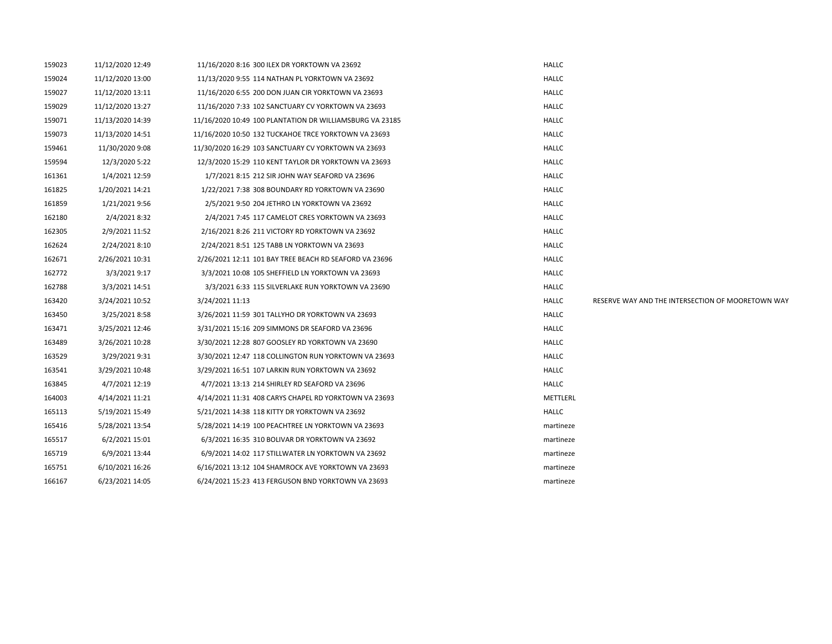| 159023 | 11/12/2020 12:49 | 11/16/2020 8:16 300 ILEX DR YORKTOWN VA 23692            | <b>HALLC</b> |                                                   |
|--------|------------------|----------------------------------------------------------|--------------|---------------------------------------------------|
| 159024 | 11/12/2020 13:00 | 11/13/2020 9:55 114 NATHAN PL YORKTOWN VA 23692          | <b>HALLC</b> |                                                   |
| 159027 | 11/12/2020 13:11 | 11/16/2020 6:55 200 DON JUAN CIR YORKTOWN VA 23693       | <b>HALLC</b> |                                                   |
| 159029 | 11/12/2020 13:27 | 11/16/2020 7:33 102 SANCTUARY CV YORKTOWN VA 23693       | <b>HALLC</b> |                                                   |
| 159071 | 11/13/2020 14:39 | 11/16/2020 10:49 100 PLANTATION DR WILLIAMSBURG VA 23185 | HALLC        |                                                   |
| 159073 | 11/13/2020 14:51 | 11/16/2020 10:50 132 TUCKAHOE TRCE YORKTOWN VA 23693     | <b>HALLC</b> |                                                   |
| 159461 | 11/30/2020 9:08  | 11/30/2020 16:29 103 SANCTUARY CV YORKTOWN VA 23693      | <b>HALLC</b> |                                                   |
| 159594 | 12/3/2020 5:22   | 12/3/2020 15:29 110 KENT TAYLOR DR YORKTOWN VA 23693     | <b>HALLC</b> |                                                   |
| 161361 | 1/4/2021 12:59   | 1/7/2021 8:15 212 SIR JOHN WAY SEAFORD VA 23696          | <b>HALLC</b> |                                                   |
| 161825 | 1/20/2021 14:21  | 1/22/2021 7:38 308 BOUNDARY RD YORKTOWN VA 23690         | <b>HALLC</b> |                                                   |
| 161859 | 1/21/2021 9:56   | 2/5/2021 9:50 204 JETHRO LN YORKTOWN VA 23692            | <b>HALLC</b> |                                                   |
| 162180 | 2/4/2021 8:32    | 2/4/2021 7:45 117 CAMELOT CRES YORKTOWN VA 23693         | <b>HALLC</b> |                                                   |
| 162305 | 2/9/2021 11:52   | 2/16/2021 8:26 211 VICTORY RD YORKTOWN VA 23692          | <b>HALLC</b> |                                                   |
| 162624 | 2/24/2021 8:10   | 2/24/2021 8:51 125 TABB LN YORKTOWN VA 23693             | <b>HALLC</b> |                                                   |
| 162671 | 2/26/2021 10:31  | 2/26/2021 12:11 101 BAY TREE BEACH RD SEAFORD VA 23696   | <b>HALLC</b> |                                                   |
| 162772 | 3/3/2021 9:17    | 3/3/2021 10:08 105 SHEFFIELD LN YORKTOWN VA 23693        | <b>HALLC</b> |                                                   |
| 162788 | 3/3/2021 14:51   | 3/3/2021 6:33 115 SILVERLAKE RUN YORKTOWN VA 23690       | <b>HALLC</b> |                                                   |
| 163420 | 3/24/2021 10:52  | 3/24/2021 11:13                                          | <b>HALLC</b> | RESERVE WAY AND THE INTERSECTION OF MOORETOWN WAY |
| 163450 | 3/25/2021 8:58   | 3/26/2021 11:59 301 TALLYHO DR YORKTOWN VA 23693         | <b>HALLC</b> |                                                   |
| 163471 | 3/25/2021 12:46  | 3/31/2021 15:16 209 SIMMONS DR SEAFORD VA 23696          | <b>HALLC</b> |                                                   |
| 163489 | 3/26/2021 10:28  | 3/30/2021 12:28 807 GOOSLEY RD YORKTOWN VA 23690         | <b>HALLC</b> |                                                   |
| 163529 | 3/29/2021 9:31   | 3/30/2021 12:47 118 COLLINGTON RUN YORKTOWN VA 23693     | <b>HALLC</b> |                                                   |
| 163541 | 3/29/2021 10:48  | 3/29/2021 16:51 107 LARKIN RUN YORKTOWN VA 23692         | <b>HALLC</b> |                                                   |
| 163845 | 4/7/2021 12:19   | 4/7/2021 13:13 214 SHIRLEY RD SEAFORD VA 23696           | <b>HALLC</b> |                                                   |
| 164003 | 4/14/2021 11:21  | 4/14/2021 11:31 408 CARYS CHAPEL RD YORKTOWN VA 23693    | METTLERL     |                                                   |
| 165113 | 5/19/2021 15:49  | 5/21/2021 14:38 118 KITTY DR YORKTOWN VA 23692           | <b>HALLC</b> |                                                   |
| 165416 | 5/28/2021 13:54  | 5/28/2021 14:19 100 PEACHTREE LN YORKTOWN VA 23693       | martineze    |                                                   |
| 165517 | 6/2/2021 15:01   | 6/3/2021 16:35 310 BOLIVAR DR YORKTOWN VA 23692          | martineze    |                                                   |
| 165719 | 6/9/2021 13:44   | 6/9/2021 14:02 117 STILLWATER LN YORKTOWN VA 23692       | martineze    |                                                   |
| 165751 | 6/10/2021 16:26  | 6/16/2021 13:12 104 SHAMROCK AVE YORKTOWN VA 23693       | martineze    |                                                   |
| 166167 | 6/23/2021 14:05  | 6/24/2021 15:23 413 FERGUSON BND YORKTOWN VA 23693       | martineze    |                                                   |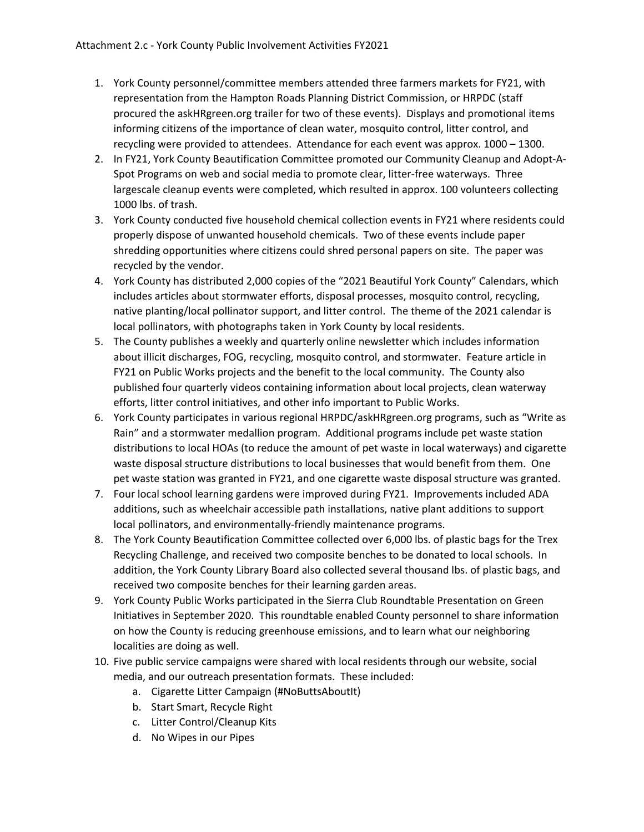- 1. York County personnel/committee members attended three farmers markets for FY21, with representation from the Hampton Roads Planning District Commission, or HRPDC (staff procured the askHRgreen.org trailer for two of these events). Displays and promotional items informing citizens of the importance of clean water, mosquito control, litter control, and recycling were provided to attendees. Attendance for each event was approx. 1000 – 1300.
- 2. In FY21, York County Beautification Committee promoted our Community Cleanup and Adopt‐A‐ Spot Programs on web and social media to promote clear, litter‐free waterways. Three largescale cleanup events were completed, which resulted in approx. 100 volunteers collecting 1000 lbs. of trash.
- 3. York County conducted five household chemical collection events in FY21 where residents could properly dispose of unwanted household chemicals. Two of these events include paper shredding opportunities where citizens could shred personal papers on site. The paper was recycled by the vendor.
- 4. York County has distributed 2,000 copies of the "2021 Beautiful York County" Calendars, which includes articles about stormwater efforts, disposal processes, mosquito control, recycling, native planting/local pollinator support, and litter control. The theme of the 2021 calendar is local pollinators, with photographs taken in York County by local residents.
- 5. The County publishes a weekly and quarterly online newsletter which includes information about illicit discharges, FOG, recycling, mosquito control, and stormwater. Feature article in FY21 on Public Works projects and the benefit to the local community. The County also published four quarterly videos containing information about local projects, clean waterway efforts, litter control initiatives, and other info important to Public Works.
- 6. York County participates in various regional HRPDC/askHRgreen.org programs, such as "Write as Rain" and a stormwater medallion program. Additional programs include pet waste station distributions to local HOAs (to reduce the amount of pet waste in local waterways) and cigarette waste disposal structure distributions to local businesses that would benefit from them. One pet waste station was granted in FY21, and one cigarette waste disposal structure was granted.
- 7. Four local school learning gardens were improved during FY21. Improvements included ADA additions, such as wheelchair accessible path installations, native plant additions to support local pollinators, and environmentally‐friendly maintenance programs.
- 8. The York County Beautification Committee collected over 6,000 lbs. of plastic bags for the Trex Recycling Challenge, and received two composite benches to be donated to local schools. In addition, the York County Library Board also collected several thousand lbs. of plastic bags, and received two composite benches for their learning garden areas.
- 9. York County Public Works participated in the Sierra Club Roundtable Presentation on Green Initiatives in September 2020. This roundtable enabled County personnel to share information on how the County is reducing greenhouse emissions, and to learn what our neighboring localities are doing as well.
- 10. Five public service campaigns were shared with local residents through our website, social media, and our outreach presentation formats. These included:
	- a. Cigarette Litter Campaign (#NoButtsAboutIt)
	- b. Start Smart, Recycle Right
	- c. Litter Control/Cleanup Kits
	- d. No Wipes in our Pipes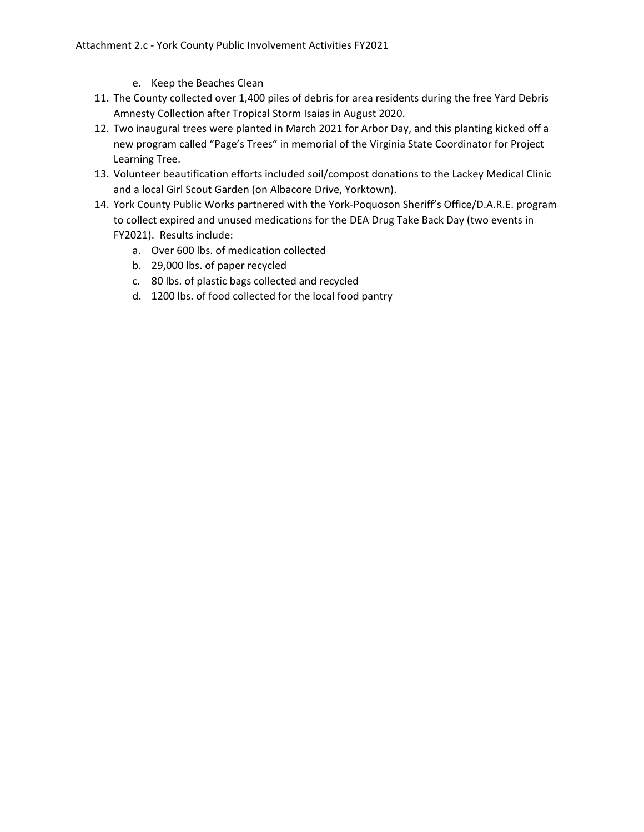- e. Keep the Beaches Clean
- 11. The County collected over 1,400 piles of debris for area residents during the free Yard Debris Amnesty Collection after Tropical Storm Isaias in August 2020.
- 12. Two inaugural trees were planted in March 2021 for Arbor Day, and this planting kicked off a new program called "Page's Trees" in memorial of the Virginia State Coordinator for Project Learning Tree.
- 13. Volunteer beautification efforts included soil/compost donations to the Lackey Medical Clinic and a local Girl Scout Garden (on Albacore Drive, Yorktown).
- 14. York County Public Works partnered with the York‐Poquoson Sheriff's Office/D.A.R.E. program to collect expired and unused medications for the DEA Drug Take Back Day (two events in FY2021). Results include:
	- a. Over 600 lbs. of medication collected
	- b. 29,000 lbs. of paper recycled
	- c. 80 lbs. of plastic bags collected and recycled
	- d. 1200 lbs. of food collected for the local food pantry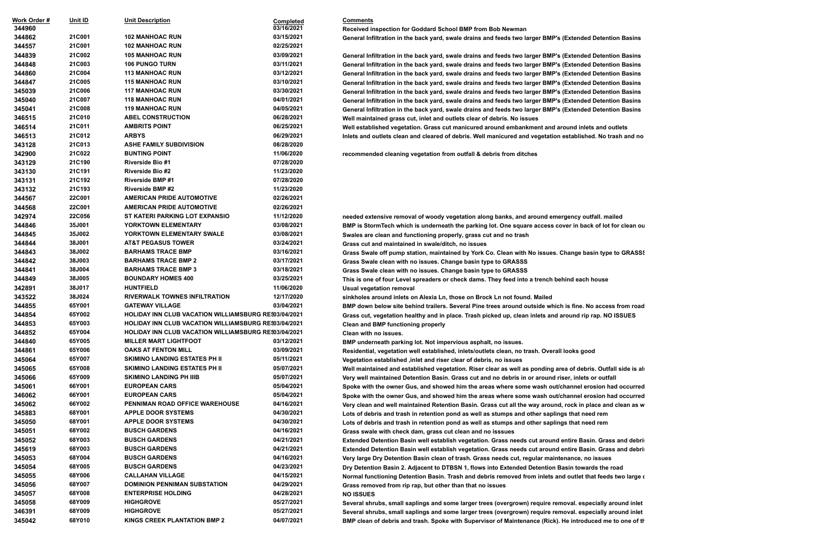**344862 21C001 102 MANHOAC RUN 03/15/2021 General Infiltration in the back yard, swale drains and feeds two larger BMP's (Extended Detention Basins**

 **346514 21C011 AMBRITS POINT 06/25/2021 Well established vegetation. Grass cut manicured around embankment and around inlets and outlets Inlets and outlets clean and cleared of debris. Well manicured and vegetation established. No trash and no** 

**22130 recommended cleaning vegetation from outfall & debris from ditches** 

**21C002 105 MANHOAC RUN 03/09/2021 General Infiltration in the back yard, swale drains and feeds two larger BMP's (Extended Detention Basins 21C003 106 PUNGO TURN 03/11/2021 General Infiltration in the back yard, swale drains and feeds two larger BMP's (Extended Detention Basins 21C004 113 MANHOAC RUN 03/12/2021 General Infiltration in the back yard, swale drains and feeds two larger BMP's (Extended Detention Basins 21C005 115 MANHOAC RUN 03/10/2021 General Infiltration in the back yard, swale drains and feeds two larger BMP's (Extended Detention Basins 21C006 117 MANHOAC RUN 03/30/2021 General Infiltration in the back yard, swale drains and feeds two larger BMP's (Extended Detention Basins 21C007 118 MANHOAC RUN 04/01/2021 General Infiltration in the back yard, swale drains and feeds two larger BMP's (Extended Detention Basins 21C008 119 MANHOAC RUN 04/05/2021 General Infiltration in the back yard, swale drains and feeds two larger BMP's (Extended Detention Basins 21C010 ABEL CONSTRUCTION 06/28/2021 Well maintained grass cut, inlet and outlets clear of debris. No issues**

 **342974 22C056 ST KATERI PARKING LOT EXPANSIO 11/12/2020 needed extensive removal of woody vegetation along banks, and around emergency outfall. mailed BMP** is StormTech which is underneath the parking lot. One square access cover in back of lot for clean ou **Swales are clean and functioning properly, grass cut and no trash** 

**Grass cut and maintained in swale/ditch, no issues** 

 **344849 38J005 BOUNDARY HOMES 400 03/25/2021 This is one of four Level spreaders or check dams. They feed into a trench behind each house Usual vegetation removal** 

 **344855 65Y001 GATEWAY VILLAGE 03/04/2021 BMP down below site behind trailers. Several Pine trees around outside which is fine. No access from road 344854 65Y002 HOLIDAY INN CLUB VACATION WILLIAMSBURG RESORT 03/04/2021 Grass cut, vegetation healthy and in place. Trash picked up, clean inlets and around rip rap. NO ISSUES Clean and BMP functioning properly** 

**BMP** underneath parking lot. Not impervious asphalt, no issues.

 **344861 65Y006 OAKS AT FENTON MILL 03/09/2021 Residential, vegetation well established, inlets/outlets clean, no trash. Overall looks good Vegetation established ,inlet and riser clear of debris, no issues** 

Well maintained and established vegetation. Riser clear as well as ponding area of debris. Outfall side is al: **Very well maintained Detention Basin. Grass cut and no debris in or around riser, inlets or outfall Spoke with the owner Gus, and showed him the areas where some wash out/channel erosion had occurred** Spoke with the owner Gus, and showed him the areas where some wash out/channel erosion had occurred **Very clean and well maintained Retention Basin. Grass cut all the way around, rock in place and clean as w 345883 68Y001 APPLE DOOR SYSTEMS 04/30/2021 Lots of debris and trash in retention pond as well as stumps and other saplings that need rem 345050 68Y001 APPLE DOOR SYSTEMS 04/30/2021 Lots of debris and trash in retention pond as well as stumps and other saplings that need rem Grass swale with check dam, grass cut clean and no isssues** 

**Extended Detention Basin well establish vegetation. Grass needs cut around entire Basin. Grass and debris Extended Detention Basin well establish vegetation. Grass needs cut around entire Basin. Grass and debris 345053 68Y004 BUSCH GARDENS 04/16/2021 Very large Dry Detention Basin clean of trash. Grass needs cut, regular maintenance, no issues 345054 68Y005 BUSCH GARDENS 04/23/2021 Dry Detention Basin 2. Adjacent to DTBSN 1, flows into Extended Detention Basin towards the road Normal functioning Detention Basin. Trash and debris removed from inlets and outlet that feeds two large of Grass removed from rip rap, but other than that no issues** 

 **344843 38J002 BARHAMS TRACE BMP 03/16/2021 Grass Swale off pump station, maintained by York Co. Clean with No issues. Change basin type to GRASSS 344842 38J003 BARHAMS TRACE BMP 2 03/17/2021 Grass Swale clean with no issues. Change basin type to GRASSS**

 **344841 38J004 BARHAMS TRACE BMP 3 03/18/2021 Grass Swale clean with no issues. Change basin type to GRASSS**

| Work Order #<br>344960 | Unit ID       | <b>Unit Description</b>                                     | <b>Completed</b><br>03/16/2021 | <b>Comments</b>                              |
|------------------------|---------------|-------------------------------------------------------------|--------------------------------|----------------------------------------------|
| 344862                 | 21C001        | <b>102 MANHOAC RUN</b>                                      | 03/15/2021                     | Received inspection for Goddard Scho         |
| 344557                 | <b>21C001</b> | <b>102 MANHOAC RUN</b>                                      | 02/25/2021                     | General Infiltration in the back yard, sv    |
| 344839                 | 21C002        | <b>105 MANHOAC RUN</b>                                      | 03/09/2021                     |                                              |
| 344848                 | 21C003        | <b>106 PUNGO TURN</b>                                       | 03/11/2021                     | General Infiltration in the back yard, sv    |
| 344860                 | 21C004        | <b>113 MANHOAC RUN</b>                                      | 03/12/2021                     | General Infiltration in the back yard, sv    |
| 344847                 | 21C005        | <b>115 MANHOAC RUN</b>                                      | 03/10/2021                     | General Infiltration in the back yard, sv    |
|                        | <b>21C006</b> | <b>117 MANHOAC RUN</b>                                      | 03/30/2021                     | General Infiltration in the back yard, sv    |
| 345039                 |               |                                                             |                                | General Infiltration in the back yard, sv    |
| 345040                 | 21C007        | <b>118 MANHOAC RUN</b>                                      | 04/01/2021                     | General Infiltration in the back yard, so    |
| 345041                 | <b>21C008</b> | <b>119 MANHOAC RUN</b>                                      | 04/05/2021                     | General Infiltration in the back yard, so    |
| 346515                 | 21C010        | <b>ABEL CONSTRUCTION</b>                                    | 06/28/2021                     | Well maintained grass cut, inlet and or      |
| 346514                 | 21C011        | <b>AMBRITS POINT</b>                                        | 06/25/2021                     | Well established vegetation. Grass cut       |
| 346513                 | 21C012        | <b>ARBYS</b>                                                | 06/29/2021                     | Inlets and outlets clean and cleared of      |
| 343128                 | 21C013        | <b>ASHE FAMILY SUBDIVISION</b>                              | 08/28/2020                     |                                              |
| 342900                 | 21C022        | <b>BUNTING POINT</b>                                        | 11/06/2020                     | recommended cleaning vegetation fro          |
| 343129                 | 21C190        | <b>Riverside Bio #1</b>                                     | 07/28/2020                     |                                              |
| 343130                 | 21C191        | <b>Riverside Bio #2</b>                                     | 11/23/2020                     |                                              |
| 343131                 | 21C192        | <b>Riverside BMP#1</b>                                      | 07/28/2020                     |                                              |
| 343132                 | 21C193        | <b>Riverside BMP#2</b>                                      | 11/23/2020                     |                                              |
| 344567                 | <b>22C001</b> | <b>AMERICAN PRIDE AUTOMOTIVE</b>                            | 02/26/2021                     |                                              |
| 344568                 | <b>22C001</b> | <b>AMERICAN PRIDE AUTOMOTIVE</b>                            | 02/26/2021                     |                                              |
| 342974                 | <b>22C056</b> | ST KATERI PARKING LOT EXPANSIO                              | 11/12/2020                     | needed extensive removal of woody ve         |
| 344846                 | 35J001        | YORKTOWN ELEMENTARY                                         | 03/08/2021                     | <b>BMP is StormTech which is underneat</b>   |
| 344845                 | 35J002        | YORKTOWN ELEMENTARY SWALE                                   | 03/08/2021                     | Swales are clean and functioning prop        |
| 344844                 | 38J001        | <b>AT&amp;T PEGASUS TOWER</b>                               | 03/24/2021                     | Grass cut and maintained in swale/dite       |
| 344843                 | 38J002        | <b>BARHAMS TRACE BMP</b>                                    | 03/16/2021                     | Grass Swale off pump station, maintai        |
| 344842                 | 38J003        | <b>BARHAMS TRACE BMP 2</b>                                  | 03/17/2021                     | Grass Swale clean with no issues. Cha        |
| 344841                 | 38J004        | <b>BARHAMS TRACE BMP 3</b>                                  | 03/18/2021                     | Grass Swale clean with no issues. Cha        |
| 344849                 | 38J005        | <b>BOUNDARY HOMES 400</b>                                   | 03/25/2021                     | This is one of four Level spreaders or       |
| 342891                 | 38J017        | <b>HUNTFIELD</b>                                            | 11/06/2020                     | <b>Usual vegetation removal</b>              |
| 343522                 | 38J024        | <b>RIVERWALK TOWNES INFILTRATION</b>                        | 12/17/2020                     | sinkholes around inlets on Alexia Ln, 1      |
| 344855                 | 65Y001        | <b>GATEWAY VILLAGE</b>                                      | 03/04/2021                     | <b>BMP down below site behind trailers.</b>  |
| 344854                 | 65Y002        | <b>HOLIDAY INN CLUB VACATION WILLIAMSBURG RES03/04/2021</b> |                                |                                              |
| 344853                 | 65Y003        | <b>HOLIDAY INN CLUB VACATION WILLIAMSBURG RES03/04/2021</b> |                                | Grass cut, vegetation healthy and in p       |
| 344852                 | 65Y004        | <b>HOLIDAY INN CLUB VACATION WILLIAMSBURG RES03/04/2021</b> |                                | <b>Clean and BMP functioning properly</b>    |
|                        | 65Y005        | <b>MILLER MART LIGHTFOOT</b>                                | 03/12/2021                     | Clean with no issues.                        |
| 344840                 |               |                                                             |                                | <b>BMP underneath parking lot. Not impe</b>  |
| 344861                 | 65Y006        | <b>OAKS AT FENTON MILL</b>                                  | 03/09/2021                     | Residential, vegetation well establishe      |
| 345064                 | 65Y007        | <b>SKIMINO LANDING ESTATES PH II</b>                        | 05/11/2021                     | Vegetation established, inlet and riser      |
| 345065                 | 65Y008        | <b>SKIMINO LANDING ESTATES PH II</b>                        | 05/07/2021                     | Well maintained and established vege         |
| 345066                 | 65Y009        | <b>SKIMINO LANDING PH IIIB</b>                              | 05/07/2021                     | Very well maintained Detention Basin.        |
| 345061                 | 66Y001        | <b>EUROPEAN CARS</b>                                        | 05/04/2021                     | Spoke with the owner Gus, and showe          |
| 346062                 | 66Y001        | <b>EUROPEAN CARS</b>                                        | 05/04/2021                     | Spoke with the owner Gus, and showe          |
| 345062                 | 66Y002        | PENNIMAN ROAD OFFICE WAREHOUSE                              | 04/16/2021                     | Very clean and well maintained Retent        |
| 345883                 | 68Y001        | <b>APPLE DOOR SYSTEMS</b>                                   | 04/30/2021                     | Lots of debris and trash in retention p      |
| 345050                 | 68Y001        | <b>APPLE DOOR SYSTEMS</b>                                   | 04/30/2021                     | Lots of debris and trash in retention p      |
| 345051                 | 68Y002        | <b>BUSCH GARDENS</b>                                        | 04/16/2021                     | Grass swale with check dam, grass cu         |
| 345052                 | 68Y003        | <b>BUSCH GARDENS</b>                                        | 04/21/2021                     | <b>Extended Detention Basin well establi</b> |
| 345619                 | 68Y003        | <b>BUSCH GARDENS</b>                                        | 04/21/2021                     | <b>Extended Detention Basin well establi</b> |
| 345053                 | 68Y004        | <b>BUSCH GARDENS</b>                                        | 04/16/2021                     | Very large Dry Detention Basin clean o       |
| 345054                 | 68Y005        | <b>BUSCH GARDENS</b>                                        | 04/23/2021                     | Dry Detention Basin 2. Adjacent to DT        |
| 345055                 | 68Y006        | <b>CALLAHAN VILLAGE</b>                                     | 04/15/2021                     | <b>Normal functioning Detention Basin. T</b> |
| 345056                 | 68Y007        | DOMINION PENNIMAN SUBSTATION                                | 04/29/2021                     | Grass removed from rip rap, but other        |
| 345057                 | 68Y008        | <b>ENTERPRISE HOLDING</b>                                   | 04/28/2021                     | <b>NO ISSUES</b>                             |
| 345058                 | 68Y009        | <b>HIGHGROVE</b>                                            | 05/27/2021                     | Several shrubs, small saplings and so        |
| 346391                 | 68Y009        | <b>HIGHGROVE</b>                                            | 05/27/2021                     | Several shrubs, small saplings and so        |
| 345042                 | 68Y010        | <b>KINGS CREEK PLANTATION BMP 2</b>                         | 04/07/2021                     | BMP clean of debris and trash. Spoke         |
|                        |               |                                                             |                                |                                              |

 **345058 68Y009 HIGHGROVE 05/27/2021 Several shrubs, small saplings and some larger trees (overgrown) require removal. especially around inlet and outfall structures 346391 68Y009 HIGHGROVE 05/27/2021 Several shrubs, small saplings and some larger trees (overgrown) require removal. especially around inlet and outfall structures BMP clean of debris and trash. Spoke with Supervisor of Maintenance (Rick). He introduced me to one of the lead groundsmen Matham Burghen Mathrid and groundsmen Mathrid BM at**  $\alpha$ 

**Received inspection for Goddard School BMP from Bob Newman** 

 **343522 38J024 RIVERWALK TOWNES INFILTRATION 12/17/2020 sinkholes around inlets on Alexia Ln, those on Brock Ln not found. Mailed**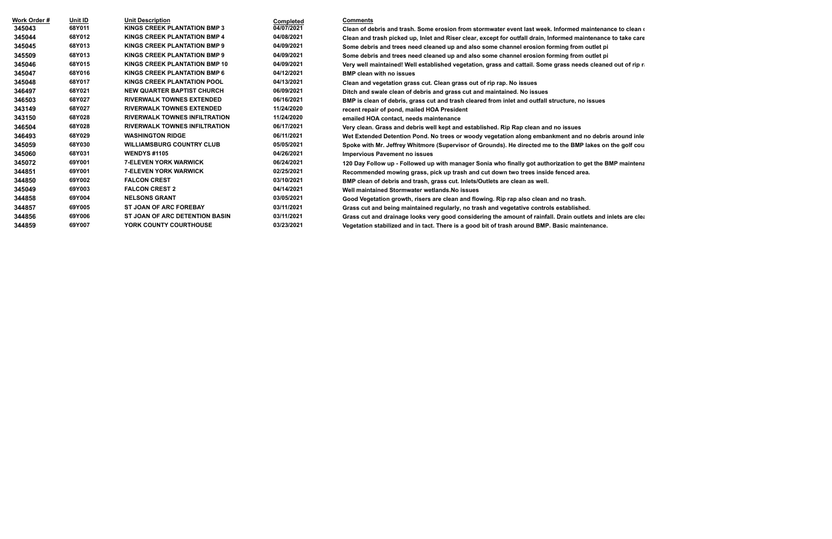| Work Order # | <u>Unit ID</u> | <b>Unit Description</b>               | <b>Completed</b> | <b>Comments</b>                                                                                                   |
|--------------|----------------|---------------------------------------|------------------|-------------------------------------------------------------------------------------------------------------------|
| 345043       | 68Y011         | <b>KINGS CREEK PLANTATION BMP 3</b>   | 04/07/2021       | Clean of debris and trash. Some erosion from stormwater event last week. Informed maintenance to clean $\epsilon$ |
| 345044       | 68Y012         | <b>KINGS CREEK PLANTATION BMP 4</b>   | 04/08/2021       | Clean and trash picked up, Inlet and Riser clear, except for outfall drain, Informed maintenance to take care     |
| 345045       | 68Y013         | <b>KINGS CREEK PLANTATION BMP 9</b>   | 04/09/2021       | Some debris and trees need cleaned up and also some channel erosion forming from outlet pi                        |
| 345509       | 68Y013         | <b>KINGS CREEK PLANTATION BMP 9</b>   | 04/09/2021       | Some debris and trees need cleaned up and also some channel erosion forming from outlet pi                        |
| 345046       | 68Y015         | <b>KINGS CREEK PLANTATION BMP 10</b>  | 04/09/2021       | Very well maintained! Well established vegetation, grass and cattail. Some grass needs cleaned out of rip r       |
| 345047       | 68Y016         | <b>KINGS CREEK PLANTATION BMP 6</b>   | 04/12/2021       | <b>BMP clean with no issues</b>                                                                                   |
| 345048       | 68Y017         | <b>KINGS CREEK PLANTATION POOL</b>    | 04/13/2021       | Clean and vegetation grass cut. Clean grass out of rip rap. No issues                                             |
| 346497       | 68Y021         | <b>NEW QUARTER BAPTIST CHURCH</b>     | 06/09/2021       | Ditch and swale clean of debris and grass cut and maintained. No issues                                           |
| 346503       | 68Y027         | <b>RIVERWALK TOWNES EXTENDED</b>      | 06/16/2021       | BMP is clean of debris, grass cut and trash cleared from inlet and outfall structure, no issues                   |
| 343149       | 68Y027         | <b>RIVERWALK TOWNES EXTENDED</b>      | 11/24/2020       | recent repair of pond, mailed HOA President                                                                       |
| 343150       | 68Y028         | <b>RIVERWALK TOWNES INFILTRATION</b>  | 11/24/2020       | emailed HOA contact, needs maintenance                                                                            |
| 346504       | 68Y028         | <b>RIVERWALK TOWNES INFILTRATION</b>  | 06/17/2021       | Very clean. Grass and debris well kept and established. Rip Rap clean and no issues                               |
| 346493       | 68Y029         | <b>WASHINGTON RIDGE</b>               | 06/11/2021       | Wet Extended Detention Pond. No trees or woody vegetation along embankment and no debris around inle              |
| 345059       | 68Y030         | <b>WILLIAMSBURG COUNTRY CLUB</b>      | 05/05/2021       | Spoke with Mr. Jeffrey Whitmore (Supervisor of Grounds). He directed me to the BMP lakes on the golf cou          |
| 345060       | 68Y031         | <b>WENDYS #1105</b>                   | 04/26/2021       | <b>Impervious Pavement no issues</b>                                                                              |
| 345072       | 69Y001         | <b>7-ELEVEN YORK WARWICK</b>          | 06/24/2021       | 120 Day Follow up - Followed up with manager Sonia who finally got authorization to get the BMP maintena          |
| 344851       | 69Y001         | <b>7-ELEVEN YORK WARWICK</b>          | 02/25/2021       | Recommended mowing grass, pick up trash and cut down two trees inside fenced area.                                |
| 344850       | 69Y002         | <b>FALCON CREST</b>                   | 03/10/2021       | BMP clean of debris and trash, grass cut. Inlets/Outlets are clean as well.                                       |
| 345049       | 69Y003         | <b>FALCON CREST 2</b>                 | 04/14/2021       | Well maintained Stormwater wetlands. No issues                                                                    |
| 344858       | 69Y004         | <b>NELSONS GRANT</b>                  | 03/05/2021       | Good Vegetation growth, risers are clean and flowing. Rip rap also clean and no trash.                            |
| 344857       | 69Y005         | <b>ST JOAN OF ARC FOREBAY</b>         | 03/11/2021       | Grass cut and being maintained regularly, no trash and vegetative controls established.                           |
| 344856       |                |                                       | 03/11/2021       |                                                                                                                   |
|              | 69Y006         | <b>ST JOAN OF ARC DETENTION BASIN</b> |                  | Grass cut and drainage looks very good considering the amount of rainfall. Drain outlets and inlets are clear     |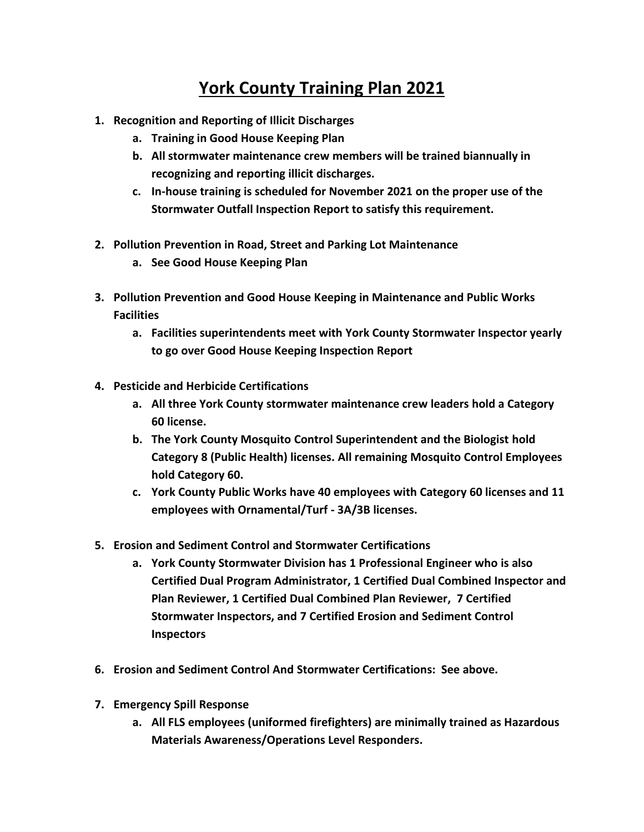## **York County Training Plan 2021**

- **1. Recognition and Reporting of Illicit Discharges**
	- **a. Training in Good House Keeping Plan**
	- **b. All stormwater maintenance crew members will be trained biannually in recognizing and reporting illicit discharges.**
	- **c. In-house training is scheduled for November 2021 on the proper use of the Stormwater Outfall Inspection Report to satisfy this requirement.**
- **2. Pollution Prevention in Road, Street and Parking Lot Maintenance**
	- **a. See Good House Keeping Plan**
- **3. Pollution Prevention and Good House Keeping in Maintenance and Public Works Facilities**
	- **a. Facilities superintendents meet with York County Stormwater Inspector yearly to go over Good House Keeping Inspection Report**
- **4. Pesticide and Herbicide Certifications**
	- **a. All three York County stormwater maintenance crew leaders hold a Category 60 license.**
	- **b. The York County Mosquito Control Superintendent and the Biologist hold Category 8 (Public Health) licenses. All remaining Mosquito Control Employees hold Category 60.**
	- **c. York County Public Works have 40 employees with Category 60 licenses and 11 employees with Ornamental/Turf - 3A/3B licenses.**
- **5. Erosion and Sediment Control and Stormwater Certifications**
	- **a. York County Stormwater Division has 1 Professional Engineer who is also Certified Dual Program Administrator, 1 Certified Dual Combined Inspector and Plan Reviewer, 1 Certified Dual Combined Plan Reviewer, 7 Certified Stormwater Inspectors, and 7 Certified Erosion and Sediment Control Inspectors**
- **6. Erosion and Sediment Control And Stormwater Certifications: See above.**
- **7. Emergency Spill Response** 
	- **a. All FLS employees (uniformed firefighters) are minimally trained as Hazardous Materials Awareness/Operations Level Responders.**